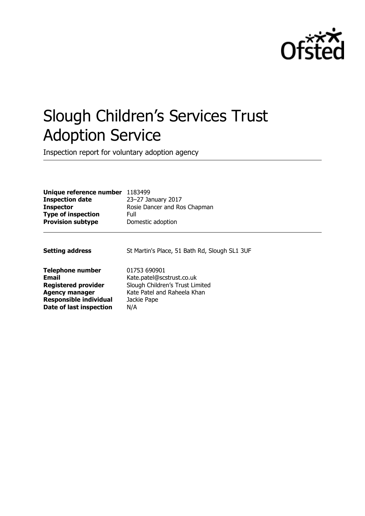

# Slough Children's Services Trust Adoption Service

Inspection report for voluntary adoption agency

| Unique reference number       | 1183499                                       |
|-------------------------------|-----------------------------------------------|
| <b>Inspection date</b>        | 23-27 January 2017                            |
| <b>Inspector</b>              | Rosie Dancer and Ros Chapman                  |
| <b>Type of inspection</b>     | Full                                          |
| <b>Provision subtype</b>      | Domestic adoption                             |
| <b>Setting address</b>        | St Martin's Place, 51 Bath Rd, Slough SL1 3UF |
| <b>Telephone number</b>       | 01753 690901                                  |
| <b>Email</b>                  | Kate.patel@scstrust.co.uk                     |
| <b>Registered provider</b>    | Slough Children's Trust Limited               |
| <b>Agency manager</b>         | Kate Patel and Raheela Khan                   |
| <b>Responsible individual</b> | Jackie Pape                                   |
| Date of last inspection       | N/A                                           |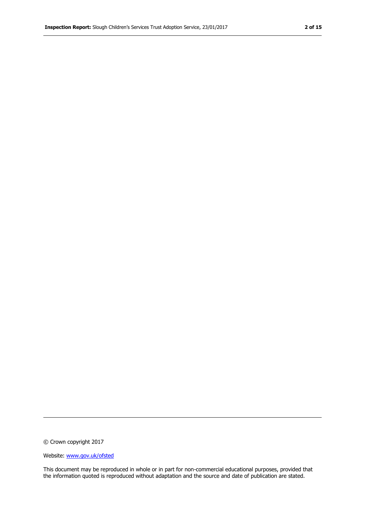© Crown copyright 2017

Website: www.gov.uk/ofsted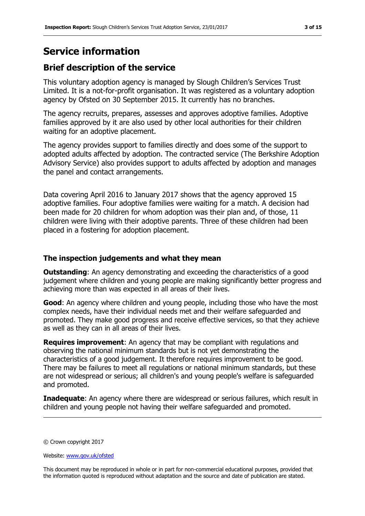## **Service information**

## **Brief description of the service**

This voluntary adoption agency is managed by Slough Children's Services Trust Limited. It is a not-for-profit organisation. It was registered as a voluntary adoption agency by Ofsted on 30 September 2015. It currently has no branches.

The agency recruits, prepares, assesses and approves adoptive families. Adoptive families approved by it are also used by other local authorities for their children waiting for an adoptive placement.

The agency provides support to families directly and does some of the support to adopted adults affected by adoption. The contracted service (The Berkshire Adoption Advisory Service) also provides support to adults affected by adoption and manages the panel and contact arrangements.

Data covering April 2016 to January 2017 shows that the agency approved 15 adoptive families. Four adoptive families were waiting for a match. A decision had been made for 20 children for whom adoption was their plan and, of those, 11 children were living with their adoptive parents. Three of these children had been placed in a fostering for adoption placement.

### **The inspection judgements and what they mean**

**Outstanding:** An agency demonstrating and exceeding the characteristics of a good judgement where children and young people are making significantly better progress and achieving more than was expected in all areas of their lives.

**Good**: An agency where children and young people, including those who have the most complex needs, have their individual needs met and their welfare safeguarded and promoted. They make good progress and receive effective services, so that they achieve as well as they can in all areas of their lives.

**Requires improvement**: An agency that may be compliant with regulations and observing the national minimum standards but is not yet demonstrating the characteristics of a good judgement. It therefore requires improvement to be good. There may be failures to meet all regulations or national minimum standards, but these are not widespread or serious; all children's and young people's welfare is safeguarded and promoted.

**Inadequate:** An agency where there are widespread or serious failures, which result in children and young people not having their welfare safeguarded and promoted.

© Crown copyright 2017

Website: www.gov.uk/ofsted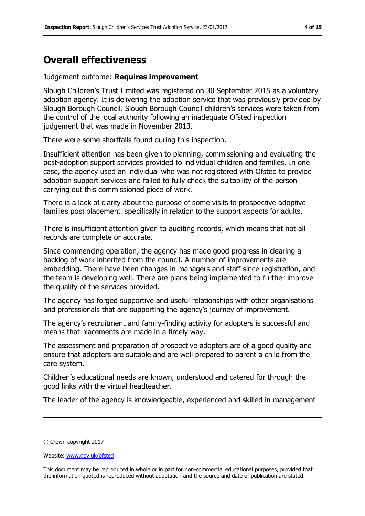## **Overall effectiveness**

#### Judgement outcome: **Requires improvement**

Slough Children's Trust Limited was registered on 30 September 2015 as a voluntary adoption agency. It is delivering the adoption service that was previously provided by Slough Borough Council. Slough Borough Council children's services were taken from the control of the local authority following an inadequate Ofsted inspection judgement that was made in November 2013.

There were some shortfalls found during this inspection.

Insufficient attention has been given to planning, commissioning and evaluating the post-adoption support services provided to individual children and families. In one case, the agency used an individual who was not registered with Ofsted to provide adoption support services and failed to fully check the suitability of the person carrying out this commissioned piece of work.

There is a lack of clarity about the purpose of some visits to prospective adoptive families post placement, specifically in relation to the support aspects for adults.

There is insufficient attention given to auditing records, which means that not all records are complete or accurate.

Since commencing operation, the agency has made good progress in clearing a backlog of work inherited from the council. A number of improvements are embedding. There have been changes in managers and staff since registration, and the team is developing well. There are plans being implemented to further improve the quality of the services provided.

The agency has forged supportive and useful relationships with other organisations and professionals that are supporting the agency's journey of improvement.

The agency's recruitment and family-finding activity for adopters is successful and means that placements are made in a timely way.

The assessment and preparation of prospective adopters are of a good quality and ensure that adopters are suitable and are well prepared to parent a child from the care system.

Children's educational needs are known, understood and catered for through the good links with the virtual headteacher.

The leader of the agency is knowledgeable, experienced and skilled in management

<sup>©</sup> Crown copyright 2017

Website: www.gov.uk/ofsted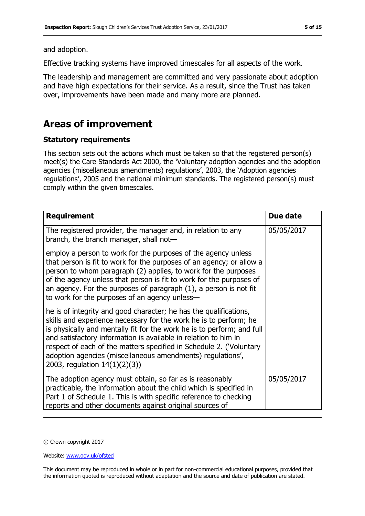and adoption.

Effective tracking systems have improved timescales for all aspects of the work.

The leadership and management are committed and very passionate about adoption and have high expectations for their service. As a result, since the Trust has taken over, improvements have been made and many more are planned.

## **Areas of improvement**

## **Statutory requirements**

This section sets out the actions which must be taken so that the registered person(s) meet(s) the Care Standards Act 2000, the 'Voluntary adoption agencies and the adoption agencies (miscellaneous amendments) regulations', 2003, the 'Adoption agencies regulations', 2005 and the national minimum standards. The registered person(s) must comply within the given timescales.

| <b>Requirement</b>                                                                                                                                                                                                                                                                                                                                                                                                                                        | Due date   |
|-----------------------------------------------------------------------------------------------------------------------------------------------------------------------------------------------------------------------------------------------------------------------------------------------------------------------------------------------------------------------------------------------------------------------------------------------------------|------------|
| The registered provider, the manager and, in relation to any<br>branch, the branch manager, shall not-                                                                                                                                                                                                                                                                                                                                                    | 05/05/2017 |
| employ a person to work for the purposes of the agency unless<br>that person is fit to work for the purposes of an agency; or allow a<br>person to whom paragraph (2) applies, to work for the purposes<br>of the agency unless that person is fit to work for the purposes of<br>an agency. For the purposes of paragraph $(1)$ , a person is not fit<br>to work for the purposes of an agency unless-                                                   |            |
| he is of integrity and good character; he has the qualifications,<br>skills and experience necessary for the work he is to perform; he<br>is physically and mentally fit for the work he is to perform; and full<br>and satisfactory information is available in relation to him in<br>respect of each of the matters specified in Schedule 2. ('Voluntary<br>adoption agencies (miscellaneous amendments) regulations',<br>2003, regulation 14(1)(2)(3)) |            |
| The adoption agency must obtain, so far as is reasonably<br>practicable, the information about the child which is specified in<br>Part 1 of Schedule 1. This is with specific reference to checking<br>reports and other documents against original sources of                                                                                                                                                                                            | 05/05/2017 |

© Crown copyright 2017

Website: www.gov.uk/ofsted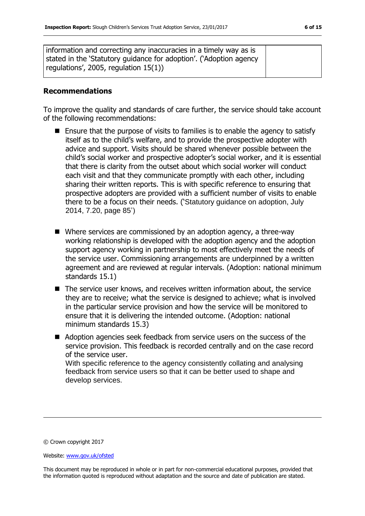## **Recommendations**

To improve the quality and standards of care further, the service should take account of the following recommendations:

- $\blacksquare$  Ensure that the purpose of visits to families is to enable the agency to satisfy itself as to the child's welfare, and to provide the prospective adopter with advice and support. Visits should be shared whenever possible between the child's social worker and prospective adopter's social worker, and it is essential that there is clarity from the outset about which social worker will conduct each visit and that they communicate promptly with each other, including sharing their written reports. This is with specific reference to ensuring that prospective adopters are provided with a sufficient number of visits to enable there to be a focus on their needs. ('Statutory guidance on adoption, July 2014, 7.20, page 85')
- Where services are commissioned by an adoption agency, a three-way working relationship is developed with the adoption agency and the adoption support agency working in partnership to most effectively meet the needs of the service user. Commissioning arrangements are underpinned by a written agreement and are reviewed at regular intervals. (Adoption: national minimum standards 15.1)
- The service user knows, and receives written information about, the service they are to receive; what the service is designed to achieve; what is involved in the particular service provision and how the service will be monitored to ensure that it is delivering the intended outcome. (Adoption: national minimum standards 15.3)
- Adoption agencies seek feedback from service users on the success of the service provision. This feedback is recorded centrally and on the case record of the service user. With specific reference to the agency consistently collating and analysing feedback from service users so that it can be better used to shape and develop services.

© Crown copyright 2017

Website: www.gov.uk/ofsted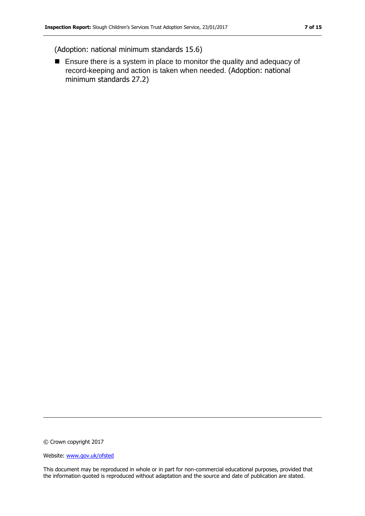(Adoption: national minimum standards 15.6)

■ Ensure there is a system in place to monitor the quality and adequacy of record-keeping and action is taken when needed. (Adoption: national minimum standards 27.2)

© Crown copyright 2017

Website: www.gov.uk/ofsted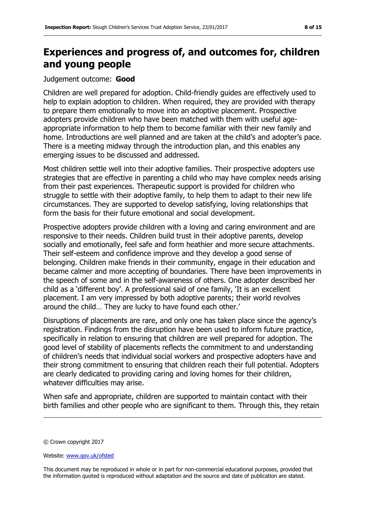# **Experiences and progress of, and outcomes for, children and young people**

### Judgement outcome: **Good**

Children are well prepared for adoption. Child-friendly guides are effectively used to help to explain adoption to children. When required, they are provided with therapy to prepare them emotionally to move into an adoptive placement. Prospective adopters provide children who have been matched with them with useful ageappropriate information to help them to become familiar with their new family and home. Introductions are well planned and are taken at the child's and adopter's pace. There is a meeting midway through the introduction plan, and this enables any emerging issues to be discussed and addressed.

Most children settle well into their adoptive families. Their prospective adopters use strategies that are effective in parenting a child who may have complex needs arising from their past experiences. Therapeutic support is provided for children who struggle to settle with their adoptive family, to help them to adapt to their new life circumstances. They are supported to develop satisfying, loving relationships that form the basis for their future emotional and social development.

Prospective adopters provide children with a loving and caring environment and are responsive to their needs. Children build trust in their adoptive parents, develop socially and emotionally, feel safe and form heathier and more secure attachments. Their self-esteem and confidence improve and they develop a good sense of belonging. Children make friends in their community, engage in their education and became calmer and more accepting of boundaries. There have been improvements in the speech of some and in the self-awareness of others. One adopter described her child as a 'different boy'. A professional said of one family, 'It is an excellent placement. I am very impressed by both adoptive parents; their world revolves around the child… They are lucky to have found each other.'

Disruptions of placements are rare, and only one has taken place since the agency's registration. Findings from the disruption have been used to inform future practice, specifically in relation to ensuring that children are well prepared for adoption. The good level of stability of placements reflects the commitment to and understanding of children's needs that individual social workers and prospective adopters have and their strong commitment to ensuring that children reach their full potential. Adopters are clearly dedicated to providing caring and loving homes for their children, whatever difficulties may arise.

When safe and appropriate, children are supported to maintain contact with their birth families and other people who are significant to them. Through this, they retain

© Crown copyright 2017

Website: www.gov.uk/ofsted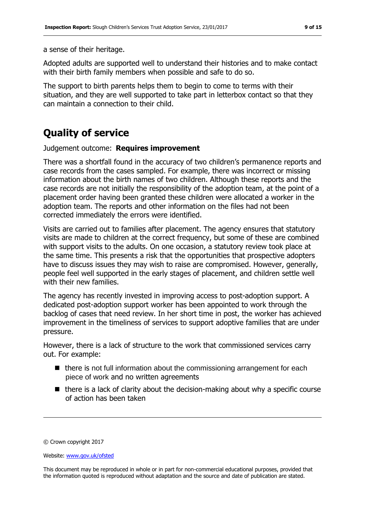a sense of their heritage.

Adopted adults are supported well to understand their histories and to make contact with their birth family members when possible and safe to do so.

The support to birth parents helps them to begin to come to terms with their situation, and they are well supported to take part in letterbox contact so that they can maintain a connection to their child.

# **Quality of service**

Judgement outcome: **Requires improvement**

There was a shortfall found in the accuracy of two children's permanence reports and case records from the cases sampled. For example, there was incorrect or missing information about the birth names of two children. Although these reports and the case records are not initially the responsibility of the adoption team, at the point of a placement order having been granted these children were allocated a worker in the adoption team. The reports and other information on the files had not been corrected immediately the errors were identified.

Visits are carried out to families after placement. The agency ensures that statutory visits are made to children at the correct frequency, but some of these are combined with support visits to the adults. On one occasion, a statutory review took place at the same time. This presents a risk that the opportunities that prospective adopters have to discuss issues they may wish to raise are compromised. However, generally, people feel well supported in the early stages of placement, and children settle well with their new families.

The agency has recently invested in improving access to post-adoption support. A dedicated post-adoption support worker has been appointed to work through the backlog of cases that need review. In her short time in post, the worker has achieved improvement in the timeliness of services to support adoptive families that are under pressure.

However, there is a lack of structure to the work that commissioned services carry out. For example:

- $\blacksquare$  there is not full information about the commissioning arrangement for each piece of work and no written agreements
- $\blacksquare$  there is a lack of clarity about the decision-making about why a specific course of action has been taken

© Crown copyright 2017

Website: www.gov.uk/ofsted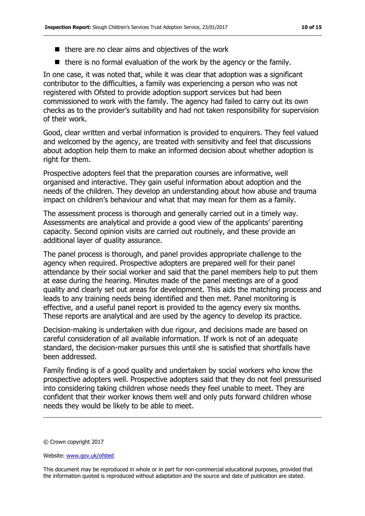- $\blacksquare$  there are no clear aims and objectives of the work
- $\blacksquare$  there is no formal evaluation of the work by the agency or the family.

In one case, it was noted that, while it was clear that adoption was a significant contributor to the difficulties, a family was experiencing a person who was not registered with Ofsted to provide adoption support services but had been commissioned to work with the family. The agency had failed to carry out its own checks as to the provider's suitability and had not taken responsibility for supervision of their work.

Good, clear written and verbal information is provided to enquirers. They feel valued and welcomed by the agency, are treated with sensitivity and feel that discussions about adoption help them to make an informed decision about whether adoption is right for them.

Prospective adopters feel that the preparation courses are informative, well organised and interactive. They gain useful information about adoption and the needs of the children. They develop an understanding about how abuse and trauma impact on children's behaviour and what that may mean for them as a family.

The assessment process is thorough and generally carried out in a timely way. Assessments are analytical and provide a good view of the applicants' parenting capacity. Second opinion visits are carried out routinely, and these provide an additional layer of quality assurance.

The panel process is thorough, and panel provides appropriate challenge to the agency when required. Prospective adopters are prepared well for their panel attendance by their social worker and said that the panel members help to put them at ease during the hearing. Minutes made of the panel meetings are of a good quality and clearly set out areas for development. This aids the matching process and leads to any training needs being identified and then met. Panel monitoring is effective, and a useful panel report is provided to the agency every six months. These reports are analytical and are used by the agency to develop its practice.

Decision-making is undertaken with due rigour, and decisions made are based on careful consideration of all available information. If work is not of an adequate standard, the decision-maker pursues this until she is satisfied that shortfalls have been addressed.

Family finding is of a good quality and undertaken by social workers who know the prospective adopters well. Prospective adopters said that they do not feel pressurised into considering taking children whose needs they feel unable to meet. They are confident that their worker knows them well and only puts forward children whose needs they would be likely to be able to meet.

<sup>©</sup> Crown copyright 2017

Website: www.gov.uk/ofsted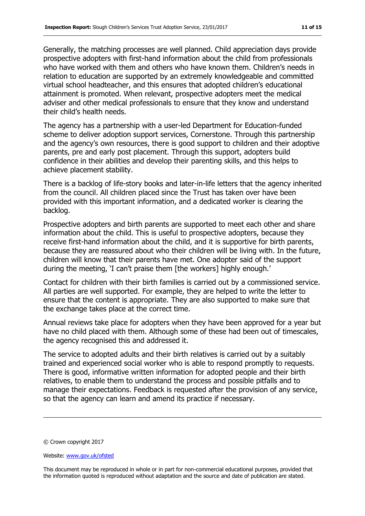Generally, the matching processes are well planned. Child appreciation days provide prospective adopters with first-hand information about the child from professionals who have worked with them and others who have known them. Children's needs in relation to education are supported by an extremely knowledgeable and committed virtual school headteacher, and this ensures that adopted children's educational attainment is promoted. When relevant, prospective adopters meet the medical adviser and other medical professionals to ensure that they know and understand their child's health needs.

The agency has a partnership with a user-led Department for Education-funded scheme to deliver adoption support services, Cornerstone. Through this partnership and the agency's own resources, there is good support to children and their adoptive parents, pre and early post placement. Through this support, adopters build confidence in their abilities and develop their parenting skills, and this helps to achieve placement stability.

There is a backlog of life-story books and later-in-life letters that the agency inherited from the council. All children placed since the Trust has taken over have been provided with this important information, and a dedicated worker is clearing the backlog.

Prospective adopters and birth parents are supported to meet each other and share information about the child. This is useful to prospective adopters, because they receive first-hand information about the child, and it is supportive for birth parents, because they are reassured about who their children will be living with. In the future, children will know that their parents have met. One adopter said of the support during the meeting, 'I can't praise them [the workers] highly enough.'

Contact for children with their birth families is carried out by a commissioned service. All parties are well supported. For example, they are helped to write the letter to ensure that the content is appropriate. They are also supported to make sure that the exchange takes place at the correct time.

Annual reviews take place for adopters when they have been approved for a year but have no child placed with them. Although some of these had been out of timescales, the agency recognised this and addressed it.

The service to adopted adults and their birth relatives is carried out by a suitably trained and experienced social worker who is able to respond promptly to requests. There is good, informative written information for adopted people and their birth relatives, to enable them to understand the process and possible pitfalls and to manage their expectations. Feedback is requested after the provision of any service, so that the agency can learn and amend its practice if necessary.

<sup>©</sup> Crown copyright 2017

Website: www.gov.uk/ofsted

This document may be reproduced in whole or in part for non-commercial educational purposes, provided that the information quoted is reproduced without adaptation and the source and date of publication are stated.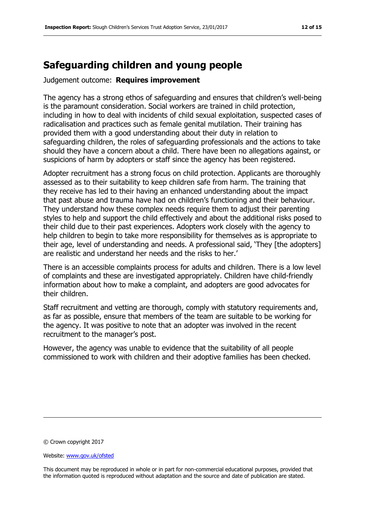## **Safeguarding children and young people**

Judgement outcome: **Requires improvement**

The agency has a strong ethos of safeguarding and ensures that children's well-being is the paramount consideration. Social workers are trained in child protection, including in how to deal with incidents of child sexual exploitation, suspected cases of radicalisation and practices such as female genital mutilation. Their training has provided them with a good understanding about their duty in relation to safeguarding children, the roles of safeguarding professionals and the actions to take should they have a concern about a child. There have been no allegations against, or suspicions of harm by adopters or staff since the agency has been registered.

Adopter recruitment has a strong focus on child protection. Applicants are thoroughly assessed as to their suitability to keep children safe from harm. The training that they receive has led to their having an enhanced understanding about the impact that past abuse and trauma have had on children's functioning and their behaviour. They understand how these complex needs require them to adjust their parenting styles to help and support the child effectively and about the additional risks posed to their child due to their past experiences. Adopters work closely with the agency to help children to begin to take more responsibility for themselves as is appropriate to their age, level of understanding and needs. A professional said, 'They [the adopters] are realistic and understand her needs and the risks to her.'

There is an accessible complaints process for adults and children. There is a low level of complaints and these are investigated appropriately. Children have child-friendly information about how to make a complaint, and adopters are good advocates for their children.

Staff recruitment and vetting are thorough, comply with statutory requirements and, as far as possible, ensure that members of the team are suitable to be working for the agency. It was positive to note that an adopter was involved in the recent recruitment to the manager's post.

However, the agency was unable to evidence that the suitability of all people commissioned to work with children and their adoptive families has been checked.

© Crown copyright 2017

Website: www.gov.uk/ofsted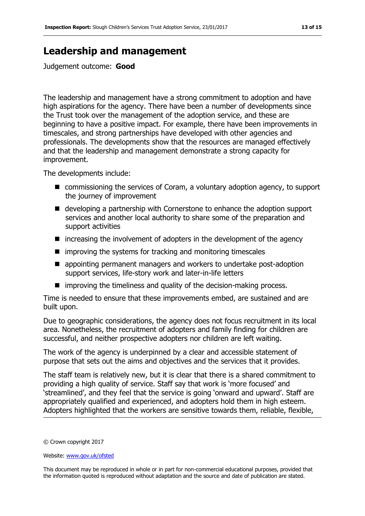# **Leadership and management**

Judgement outcome: **Good**

The leadership and management have a strong commitment to adoption and have high aspirations for the agency. There have been a number of developments since the Trust took over the management of the adoption service, and these are beginning to have a positive impact. For example, there have been improvements in timescales, and strong partnerships have developed with other agencies and professionals. The developments show that the resources are managed effectively and that the leadership and management demonstrate a strong capacity for improvement.

The developments include:

- commissioning the services of Coram, a voluntary adoption agency, to support the journey of improvement
- developing a partnership with Cornerstone to enhance the adoption support services and another local authority to share some of the preparation and support activities
- $\blacksquare$  increasing the involvement of adopters in the development of the agency
- $\blacksquare$  improving the systems for tracking and monitoring timescales
- **E** appointing permanent managers and workers to undertake post-adoption support services, life-story work and later-in-life letters
- $\blacksquare$  improving the timeliness and quality of the decision-making process.

Time is needed to ensure that these improvements embed, are sustained and are built upon.

Due to geographic considerations, the agency does not focus recruitment in its local area. Nonetheless, the recruitment of adopters and family finding for children are successful, and neither prospective adopters nor children are left waiting.

The work of the agency is underpinned by a clear and accessible statement of purpose that sets out the aims and objectives and the services that it provides.

The staff team is relatively new, but it is clear that there is a shared commitment to providing a high quality of service. Staff say that work is 'more focused' and 'streamlined', and they feel that the service is going 'onward and upward'. Staff are appropriately qualified and experienced, and adopters hold them in high esteem. Adopters highlighted that the workers are sensitive towards them, reliable, flexible,

<sup>©</sup> Crown copyright 2017

Website: www.gov.uk/ofsted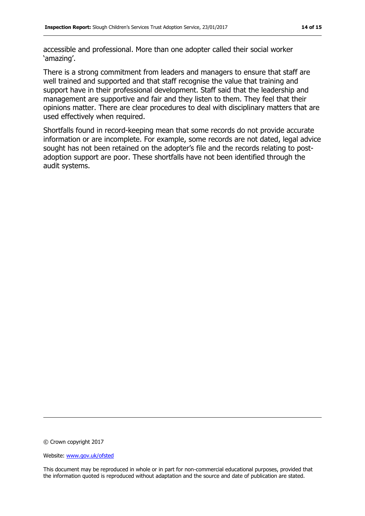accessible and professional. More than one adopter called their social worker 'amazing'.

There is a strong commitment from leaders and managers to ensure that staff are well trained and supported and that staff recognise the value that training and support have in their professional development. Staff said that the leadership and management are supportive and fair and they listen to them. They feel that their opinions matter. There are clear procedures to deal with disciplinary matters that are used effectively when required.

Shortfalls found in record-keeping mean that some records do not provide accurate information or are incomplete. For example, some records are not dated, legal advice sought has not been retained on the adopter's file and the records relating to postadoption support are poor. These shortfalls have not been identified through the audit systems.

© Crown copyright 2017

Website: www.gov.uk/ofsted